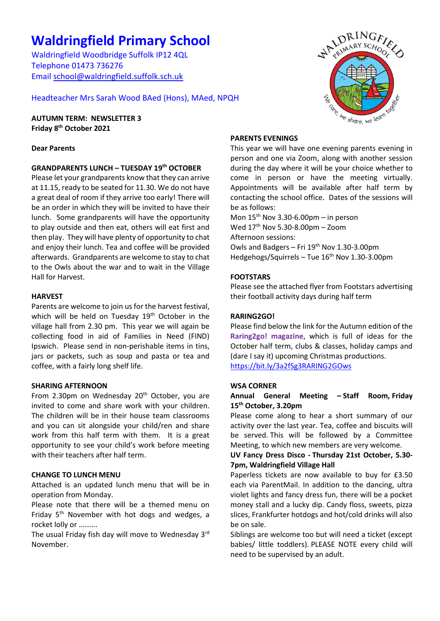# **Waldringfield Primary School**

Waldringfield Woodbridge Suffolk IP12 4QL Telephone 01473 736276 Email [school@waldringfield.suffolk.sch.uk](mailto:school@waldringfield.suffolk.sch.uk)

Headteacher Mrs Sarah Wood BAed (Hons), MAed, NPQH

**AUTUMN TERM: NEWSLETTER 3 Friday 8 th October 2021**

# **Dear Parents**

# **GRANDPARENTS LUNCH – TUESDAY 19th OCTOBER**

Please let your grandparents know that they can arrive at 11.15, ready to be seated for 11.30. We do not have a great deal of room if they arrive too early! There will be an order in which they will be invited to have their lunch. Some grandparents will have the opportunity to play outside and then eat, others will eat first and then play. They will have plenty of opportunity to chat and enjoy their lunch. Tea and coffee will be provided afterwards. Grandparents are welcome to stay to chat to the Owls about the war and to wait in the Village Hall for Harvest.

#### **HARVEST**

Parents are welcome to join us for the harvest festival, which will be held on Tuesday 19<sup>th</sup> October in the village hall from 2.30 pm. This year we will again be collecting food in aid of Families in Need (FIND) Ipswich. Please send in non-perishable items in tins, jars or packets, such as soup and pasta or tea and coffee, with a fairly long shelf life.

#### **SHARING AFTERNOON**

From 2.30pm on Wednesday 20<sup>th</sup> October, you are invited to come and share work with your children. The children will be in their house team classrooms and you can sit alongside your child/ren and share work from this half term with them. It is a great opportunity to see your child's work before meeting with their teachers after half term.

# **CHANGE TO LUNCH MENU**

Attached is an updated lunch menu that will be in operation from Monday.

Please note that there will be a themed menu on Friday  $5<sup>th</sup>$  November with hot dogs and wedges, a rocket lolly or ……….

The usual Friday fish day will move to Wednesday 3rd November.



#### **PARENTS EVENINGS**

This year we will have one evening parents evening in person and one via Zoom, along with another session during the day where it will be your choice whether to come in person or have the meeting virtually. Appointments will be available after half term by contacting the school office. Dates of the sessions will be as follows:

Mon  $15<sup>th</sup>$  Nov 3.30-6.00pm – in person Wed  $17<sup>th</sup>$  Nov 5.30-8.00pm – Zoom Afternoon sessions: Owls and Badgers – Fri  $19<sup>th</sup>$  Nov 1.30-3.00pm Hedgehogs/Squirrels - Tue 16<sup>th</sup> Nov 1.30-3.00pm

#### **FOOTSTARS**

Please see the attached flyer from Footstars advertising their football activity days during half term

#### **RARING2GO!**

Please find below the link for the Autumn edition of the **Raring2go! magazine**, which is full of ideas for the October half term, clubs & classes, holiday camps and (dare I say it) upcoming Christmas productions. <https://bit.ly/3a2fSg3RARING2GOws>

#### **WSA CORNER**

#### **Annual General Meeting – Staff Room, Friday 15th October, 3.20pm**

Please come along to hear a short summary of our activity over the last year. Tea, coffee and biscuits will be served. This will be followed by a Committee Meeting, to which new members are very welcome.

#### **UV Fancy Dress Disco - Thursday 21st October, 5.30- 7pm, Waldringfield Village Hall**

Paperless tickets are now available to buy for £3.50 each via ParentMail. In addition to the dancing, ultra violet lights and fancy dress fun, there will be a pocket money stall and a lucky dip. Candy floss, sweets, pizza slices, Frankfurter hotdogs and hot/cold drinks will also be on sale.

Siblings are welcome too but will need a ticket (except babies/ little toddlers). PLEASE NOTE every child will need to be supervised by an adult.